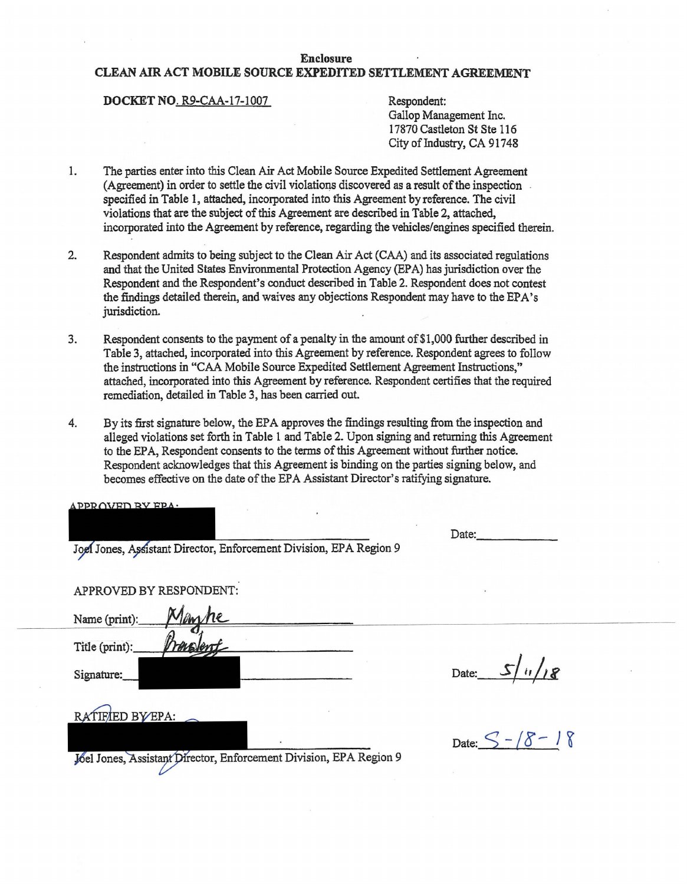## **Enclosure**

## **CLEAN AIR ACT MOBILE SOURCE EXPEDITED SETTLEMENT AGREEMENT**

## **DOCKET NO. R9-CAA-17-1007** Respondent:

Gallop Management Inc. 17870 Castleton St Ste 116 City of Industry, CA 91748

- 1. The parties enter into this Clean Air Act Mobile Source Expedited Settlement Agreement  $(A$ greement) in order to settle the civil violations discovered as a result of the inspection specified in Table 1, attached, incorporated into this Agreement by reference. The civil violations that are the subject of this Agreement are described in Table 2, attached, incorporated into the Agreement by reference, regarding the vehicles/engines specified therein.
- 2. Respondent admits to being subject to the Clean Air Act (CAA) and its associated regulations and that the United States Environmental Protection Agency (EPA) has jurisdiction over the Respondent and the Respondent's conduct described in Table 2. Respondent does not contest the findings detailed therein, and waives any objections Respondent may have to the EPA' s jurisdiction.
- 3. Respondent consents to the payment of a penalty in the amount of\$1,000 further described in Table 3, attached, incorporated into this Agreement by reference. Respondent agrees to follow the instructions in "CAA Mobile Source Expedited Settlement Agreement Instructions," attached, incorporated into this Agreement by reference. Respondent certifies that the required remediation, detailed in Table 3, has been carried out.
- 4. By its first signature below, the EPA approves the findings resulting from the inspection and alleged violations set forth in Table 1 and Table 2. Upon signing and returning this Agreement to the EPA, Respondent consents to the terms of this Agreement without further notice. Respondent acknowledges that this Agreement is binding on the parties signing below, and becomes effective on the date of the EPA Assistant Director's ratifying signature.

| APPROVED RY EPA.                                                   |                              |
|--------------------------------------------------------------------|------------------------------|
|                                                                    | Date:                        |
| Joel Jones, Assistant Director, Enforcement Division, EPA Region 9 |                              |
|                                                                    |                              |
| APPROVED BY RESPONDENT:                                            |                              |
| Name (print):<br>Mêm                                               |                              |
| Title (print):<br><b><i>respent</i></b>                            |                              |
| Signature:                                                         | $\frac{1}{8}$<br>Date: $S/u$ |
| RATIFIED BY EPA:                                                   |                              |
|                                                                    | Date: $S - / 8 - 18$         |
| Joel Jones, Assistant Director, Enforcement Division, EPA Region 9 |                              |
|                                                                    |                              |